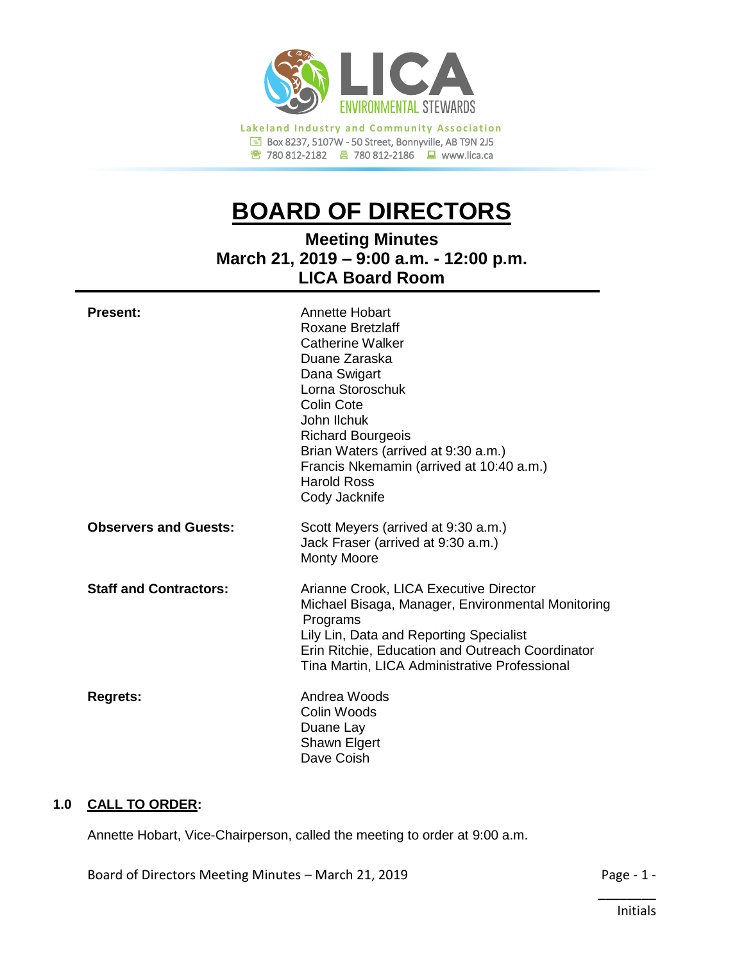

# **BOARD OF DIRECTORS**

**Meeting Minutes March 21, 2019 – 9:00 a.m. - 12:00 p.m. LICA Board Room**

| <b>Present:</b>               | Annette Hobart<br>Roxane Bretzlaff<br><b>Catherine Walker</b><br>Duane Zaraska<br>Dana Swigart<br>Lorna Storoschuk<br>Colin Cote<br>John Ilchuk<br><b>Richard Bourgeois</b><br>Brian Waters (arrived at 9:30 a.m.)<br>Francis Nkemamin (arrived at 10:40 a.m.)<br><b>Harold Ross</b><br>Cody Jacknife |
|-------------------------------|-------------------------------------------------------------------------------------------------------------------------------------------------------------------------------------------------------------------------------------------------------------------------------------------------------|
| <b>Observers and Guests:</b>  | Scott Meyers (arrived at 9:30 a.m.)<br>Jack Fraser (arrived at 9:30 a.m.)<br><b>Monty Moore</b>                                                                                                                                                                                                       |
| <b>Staff and Contractors:</b> | Arianne Crook, LICA Executive Director<br>Michael Bisaga, Manager, Environmental Monitoring<br>Programs<br>Lily Lin, Data and Reporting Specialist<br>Erin Ritchie, Education and Outreach Coordinator<br>Tina Martin, LICA Administrative Professional                                               |
| <b>Regrets:</b>               | Andrea Woods<br>Colin Woods<br>Duane Lay<br>Shawn Elgert<br>Dave Coish                                                                                                                                                                                                                                |

## **1.0 CALL TO ORDER:**

Annette Hobart, Vice-Chairperson, called the meeting to order at 9:00 a.m.

Board of Directors Meeting Minutes – March 21, 2019 **Page - 1 -** Page - 1 -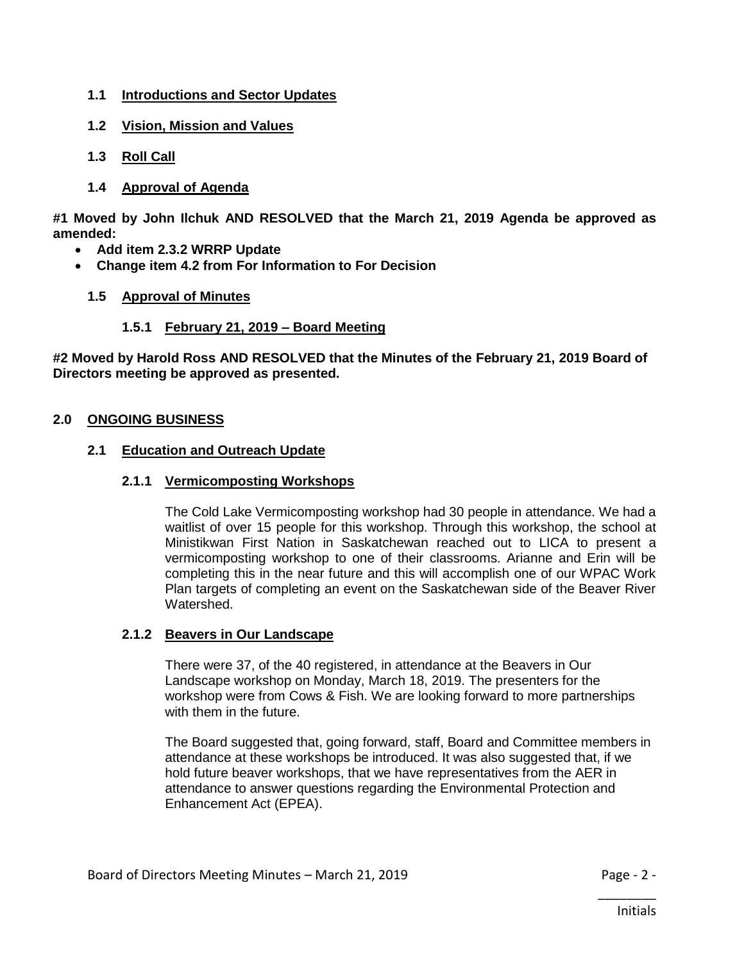- **1.1 Introductions and Sector Updates**
- **1.2 Vision, Mission and Values**
- **1.3 Roll Call**
- **1.4 Approval of Agenda**

**#1 Moved by John Ilchuk AND RESOLVED that the March 21, 2019 Agenda be approved as amended:**

- **Add item 2.3.2 WRRP Update**
- **Change item 4.2 from For Information to For Decision**
	- **1.5 Approval of Minutes**

#### **1.5.1 February 21, 2019 – Board Meeting**

**#2 Moved by Harold Ross AND RESOLVED that the Minutes of the February 21, 2019 Board of Directors meeting be approved as presented.**

#### **2.0 ONGOING BUSINESS**

#### **2.1 Education and Outreach Update**

#### **2.1.1 Vermicomposting Workshops**

The Cold Lake Vermicomposting workshop had 30 people in attendance. We had a waitlist of over 15 people for this workshop. Through this workshop, the school at Ministikwan First Nation in Saskatchewan reached out to LICA to present a vermicomposting workshop to one of their classrooms. Arianne and Erin will be completing this in the near future and this will accomplish one of our WPAC Work Plan targets of completing an event on the Saskatchewan side of the Beaver River Watershed.

#### **2.1.2 Beavers in Our Landscape**

There were 37, of the 40 registered, in attendance at the Beavers in Our Landscape workshop on Monday, March 18, 2019. The presenters for the workshop were from Cows & Fish. We are looking forward to more partnerships with them in the future.

The Board suggested that, going forward, staff, Board and Committee members in attendance at these workshops be introduced. It was also suggested that, if we hold future beaver workshops, that we have representatives from the AER in attendance to answer questions regarding the Environmental Protection and Enhancement Act (EPEA).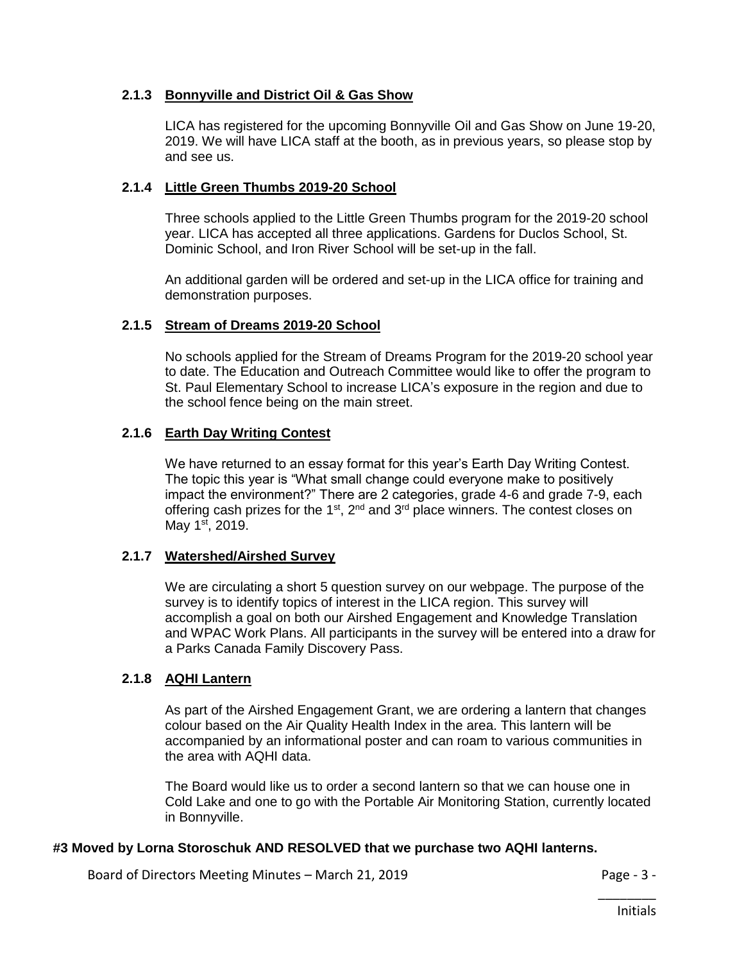## **2.1.3 Bonnyville and District Oil & Gas Show**

LICA has registered for the upcoming Bonnyville Oil and Gas Show on June 19-20, 2019. We will have LICA staff at the booth, as in previous years, so please stop by and see us.

## **2.1.4 Little Green Thumbs 2019-20 School**

Three schools applied to the Little Green Thumbs program for the 2019-20 school year. LICA has accepted all three applications. Gardens for Duclos School, St. Dominic School, and Iron River School will be set-up in the fall.

An additional garden will be ordered and set-up in the LICA office for training and demonstration purposes.

## **2.1.5 Stream of Dreams 2019-20 School**

No schools applied for the Stream of Dreams Program for the 2019-20 school year to date. The Education and Outreach Committee would like to offer the program to St. Paul Elementary School to increase LICA's exposure in the region and due to the school fence being on the main street.

## **2.1.6 Earth Day Writing Contest**

We have returned to an essay format for this year's Earth Day Writing Contest. The topic this year is "What small change could everyone make to positively impact the environment?" There are 2 categories, grade 4-6 and grade 7-9, each offering cash prizes for the 1<sup>st</sup>, 2<sup>nd</sup> and 3<sup>rd</sup> place winners. The contest closes on May  $1^{st}$ , 2019.

#### **2.1.7 Watershed/Airshed Survey**

We are circulating a short 5 question survey on our webpage. The purpose of the survey is to identify topics of interest in the LICA region. This survey will accomplish a goal on both our Airshed Engagement and Knowledge Translation and WPAC Work Plans. All participants in the survey will be entered into a draw for a Parks Canada Family Discovery Pass.

## **2.1.8 AQHI Lantern**

As part of the Airshed Engagement Grant, we are ordering a lantern that changes colour based on the Air Quality Health Index in the area. This lantern will be accompanied by an informational poster and can roam to various communities in the area with AQHI data.

The Board would like us to order a second lantern so that we can house one in Cold Lake and one to go with the Portable Air Monitoring Station, currently located in Bonnyville.

#### **#3 Moved by Lorna Storoschuk AND RESOLVED that we purchase two AQHI lanterns.**

Board of Directors Meeting Minutes – March 21, 2019 **Page - 3 -** Page - 3 -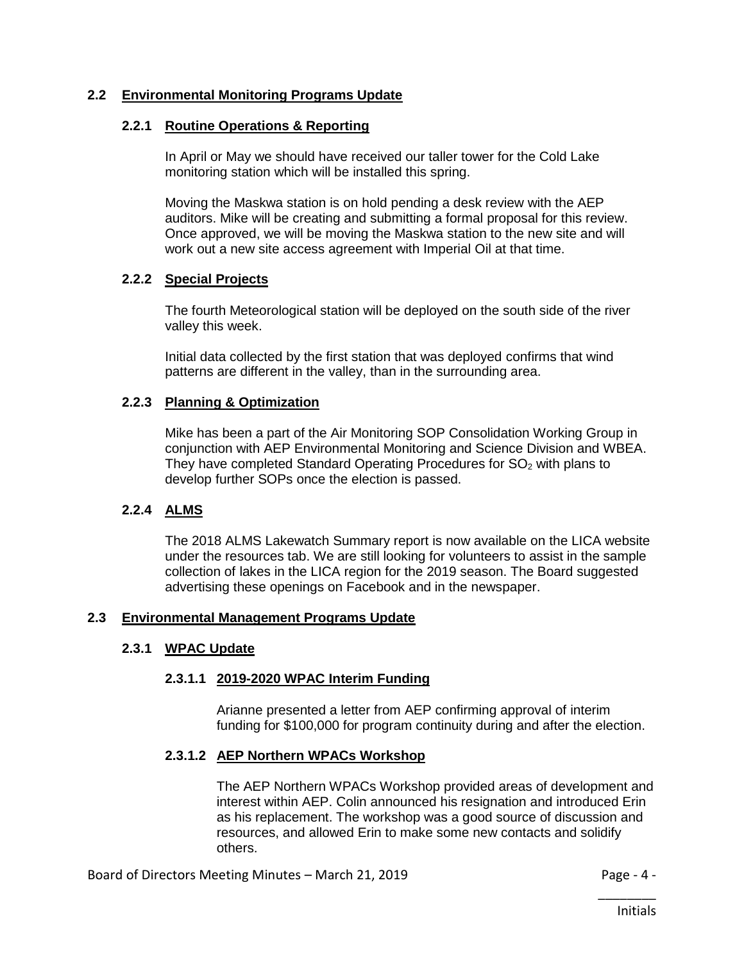## **2.2 Environmental Monitoring Programs Update**

#### **2.2.1 Routine Operations & Reporting**

In April or May we should have received our taller tower for the Cold Lake monitoring station which will be installed this spring.

Moving the Maskwa station is on hold pending a desk review with the AEP auditors. Mike will be creating and submitting a formal proposal for this review. Once approved, we will be moving the Maskwa station to the new site and will work out a new site access agreement with Imperial Oil at that time.

#### **2.2.2 Special Projects**

The fourth Meteorological station will be deployed on the south side of the river valley this week.

Initial data collected by the first station that was deployed confirms that wind patterns are different in the valley, than in the surrounding area.

#### **2.2.3 Planning & Optimization**

Mike has been a part of the Air Monitoring SOP Consolidation Working Group in conjunction with AEP Environmental Monitoring and Science Division and WBEA. They have completed Standard Operating Procedures for  $SO<sub>2</sub>$  with plans to develop further SOPs once the election is passed.

#### **2.2.4 ALMS**

The 2018 ALMS Lakewatch Summary report is now available on the LICA website under the resources tab. We are still looking for volunteers to assist in the sample collection of lakes in the LICA region for the 2019 season. The Board suggested advertising these openings on Facebook and in the newspaper.

#### **2.3 Environmental Management Programs Update**

#### **2.3.1 WPAC Update**

#### **2.3.1.1 2019-2020 WPAC Interim Funding**

Arianne presented a letter from AEP confirming approval of interim funding for \$100,000 for program continuity during and after the election.

#### **2.3.1.2 AEP Northern WPACs Workshop**

The AEP Northern WPACs Workshop provided areas of development and interest within AEP. Colin announced his resignation and introduced Erin as his replacement. The workshop was a good source of discussion and resources, and allowed Erin to make some new contacts and solidify others.

Board of Directors Meeting Minutes – March 21, 2019 **Page - 4 -** Page - 4 -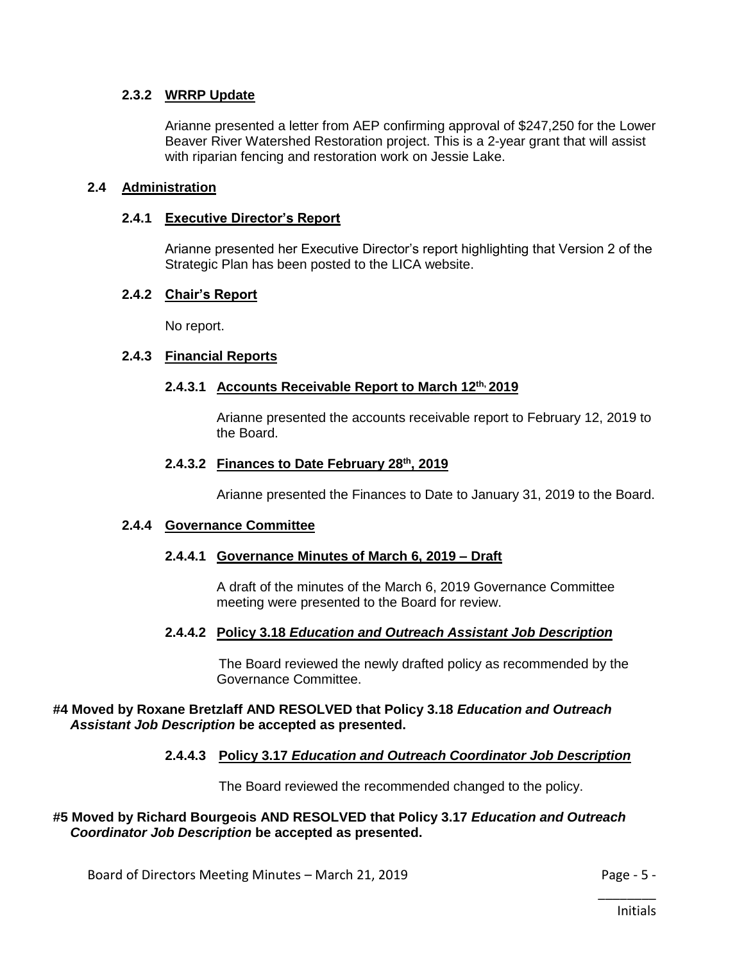## **2.3.2 WRRP Update**

Arianne presented a letter from AEP confirming approval of \$247,250 for the Lower Beaver River Watershed Restoration project. This is a 2-year grant that will assist with riparian fencing and restoration work on Jessie Lake.

#### **2.4 Administration**

#### **2.4.1 Executive Director's Report**

Arianne presented her Executive Director's report highlighting that Version 2 of the Strategic Plan has been posted to the LICA website.

#### **2.4.2 Chair's Report**

No report.

#### **2.4.3 Financial Reports**

#### **2.4.3.1 Accounts Receivable Report to March 12th, 2019**

Arianne presented the accounts receivable report to February 12, 2019 to the Board.

#### **2.4.3.2 Finances to Date February 28th, 2019**

Arianne presented the Finances to Date to January 31, 2019 to the Board.

#### **2.4.4 Governance Committee**

#### **2.4.4.1 Governance Minutes of March 6, 2019 – Draft**

A draft of the minutes of the March 6, 2019 Governance Committee meeting were presented to the Board for review.

#### **2.4.4.2 Policy 3.18** *Education and Outreach Assistant Job Description*

The Board reviewed the newly drafted policy as recommended by the Governance Committee.

#### **#4 Moved by Roxane Bretzlaff AND RESOLVED that Policy 3.18** *Education and Outreach Assistant Job Description* **be accepted as presented.**

#### **2.4.4.3 Policy 3.17** *Education and Outreach Coordinator Job Description*

The Board reviewed the recommended changed to the policy.

#### **#5 Moved by Richard Bourgeois AND RESOLVED that Policy 3.17** *Education and Outreach Coordinator Job Description* **be accepted as presented.**

Board of Directors Meeting Minutes – March 21, 2019 **Page - 5 -** Page - 5 -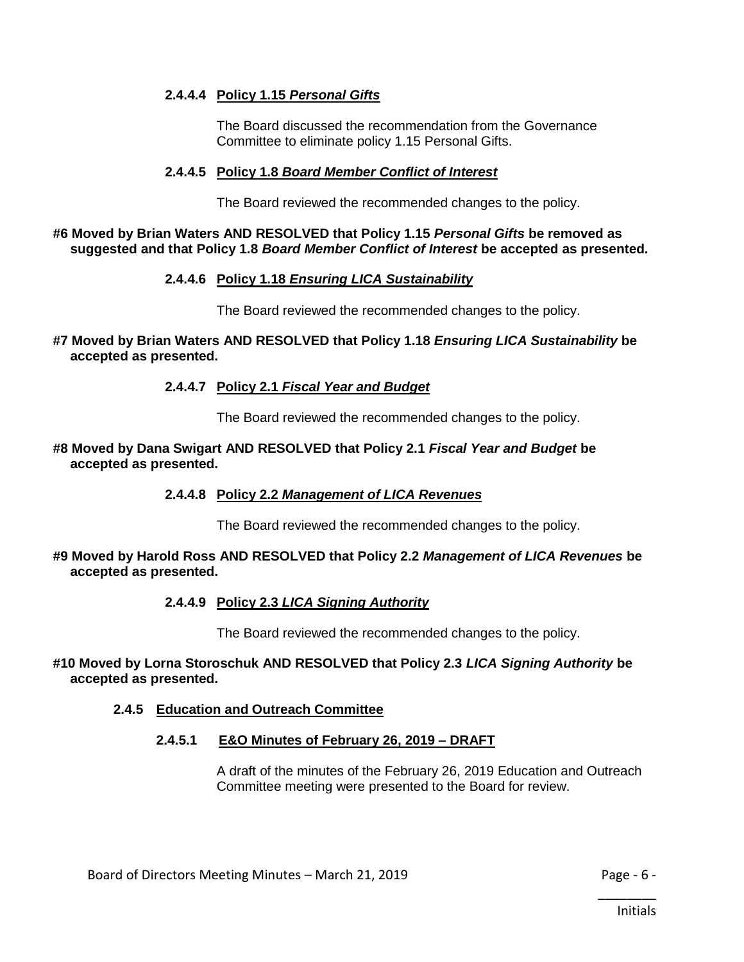## **2.4.4.4 Policy 1.15** *Personal Gifts*

The Board discussed the recommendation from the Governance Committee to eliminate policy 1.15 Personal Gifts.

#### **2.4.4.5 Policy 1.8** *Board Member Conflict of Interest*

The Board reviewed the recommended changes to the policy.

#### **#6 Moved by Brian Waters AND RESOLVED that Policy 1.15** *Personal Gifts* **be removed as suggested and that Policy 1.8** *Board Member Conflict of Interest* **be accepted as presented.**

#### **2.4.4.6 Policy 1.18** *Ensuring LICA Sustainability*

The Board reviewed the recommended changes to the policy.

#### **#7 Moved by Brian Waters AND RESOLVED that Policy 1.18** *Ensuring LICA Sustainability* **be accepted as presented.**

#### **2.4.4.7 Policy 2.1** *Fiscal Year and Budget*

The Board reviewed the recommended changes to the policy.

#### **#8 Moved by Dana Swigart AND RESOLVED that Policy 2.1** *Fiscal Year and Budget* **be accepted as presented.**

#### **2.4.4.8 Policy 2.2** *Management of LICA Revenues*

The Board reviewed the recommended changes to the policy.

#### **#9 Moved by Harold Ross AND RESOLVED that Policy 2.2** *Management of LICA Revenues* **be accepted as presented.**

#### **2.4.4.9 Policy 2.3** *LICA Signing Authority*

The Board reviewed the recommended changes to the policy.

#### **#10 Moved by Lorna Storoschuk AND RESOLVED that Policy 2.3** *LICA Signing Authority* **be accepted as presented.**

#### **2.4.5 Education and Outreach Committee**

#### **2.4.5.1 E&O Minutes of February 26, 2019 – DRAFT**

A draft of the minutes of the February 26, 2019 Education and Outreach Committee meeting were presented to the Board for review.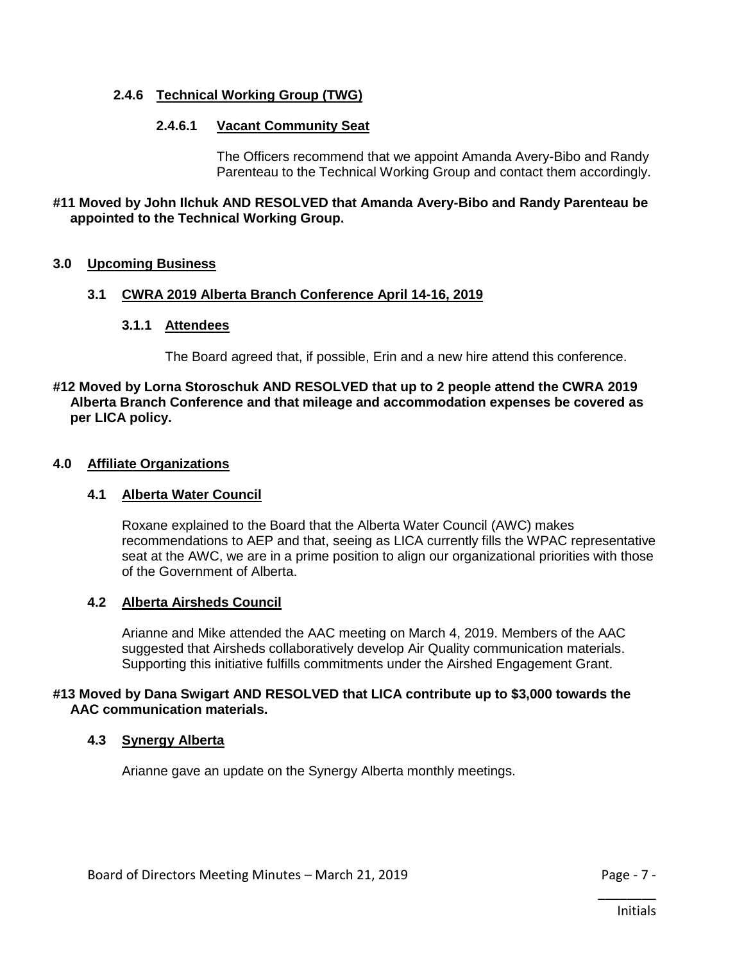## **2.4.6 Technical Working Group (TWG)**

## **2.4.6.1 Vacant Community Seat**

The Officers recommend that we appoint Amanda Avery-Bibo and Randy Parenteau to the Technical Working Group and contact them accordingly.

#### **#11 Moved by John Ilchuk AND RESOLVED that Amanda Avery-Bibo and Randy Parenteau be appointed to the Technical Working Group.**

#### **3.0 Upcoming Business**

#### **3.1 CWRA 2019 Alberta Branch Conference April 14-16, 2019**

#### **3.1.1 Attendees**

The Board agreed that, if possible, Erin and a new hire attend this conference.

#### **#12 Moved by Lorna Storoschuk AND RESOLVED that up to 2 people attend the CWRA 2019 Alberta Branch Conference and that mileage and accommodation expenses be covered as per LICA policy.**

#### **4.0 Affiliate Organizations**

#### **4.1 Alberta Water Council**

Roxane explained to the Board that the Alberta Water Council (AWC) makes recommendations to AEP and that, seeing as LICA currently fills the WPAC representative seat at the AWC, we are in a prime position to align our organizational priorities with those of the Government of Alberta.

#### **4.2 Alberta Airsheds Council**

Arianne and Mike attended the AAC meeting on March 4, 2019. Members of the AAC suggested that Airsheds collaboratively develop Air Quality communication materials. Supporting this initiative fulfills commitments under the Airshed Engagement Grant.

#### **#13 Moved by Dana Swigart AND RESOLVED that LICA contribute up to \$3,000 towards the AAC communication materials.**

#### **4.3 Synergy Alberta**

Arianne gave an update on the Synergy Alberta monthly meetings.